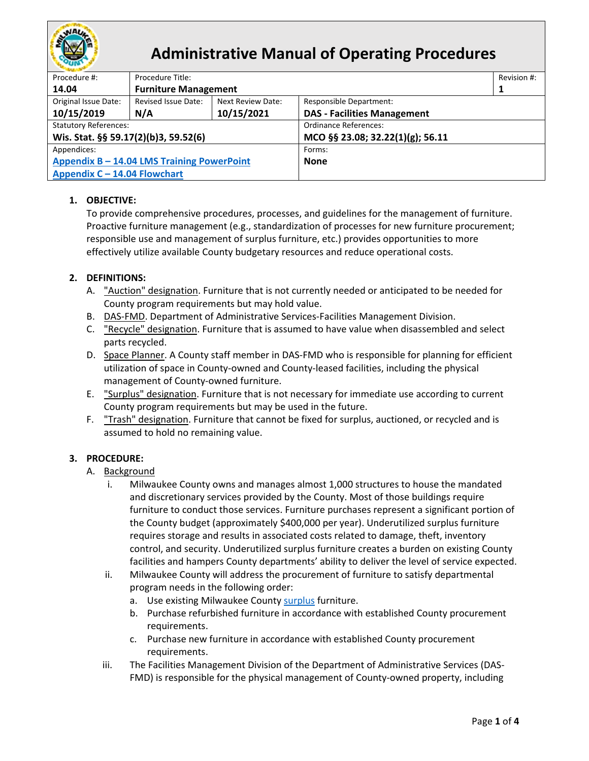

# **Administrative Manual of Operating Procedures**

| Procedure #:                               | Procedure Title:            |                          |                                    |  |  |
|--------------------------------------------|-----------------------------|--------------------------|------------------------------------|--|--|
| 14.04                                      | <b>Furniture Management</b> |                          |                                    |  |  |
| Original Issue Date:                       | Revised Issue Date:         | <b>Next Review Date:</b> | <b>Responsible Department:</b>     |  |  |
| 10/15/2019                                 | N/A                         | 10/15/2021               | <b>DAS - Facilities Management</b> |  |  |
| <b>Statutory References:</b>               |                             |                          | <b>Ordinance References:</b>       |  |  |
| Wis. Stat. §§ 59.17(2)(b)3, 59.52(6)       |                             |                          | MCO §§ 23.08; 32.22(1)(g); 56.11   |  |  |
| Appendices:                                |                             |                          | Forms:                             |  |  |
| Appendix B - 14.04 LMS Training PowerPoint |                             |                          | <b>None</b>                        |  |  |
| Appendix C - 14.04 Flowchart               |                             |                          |                                    |  |  |

## **1. OBJECTIVE:**

To provide comprehensive procedures, processes, and guidelines for the management of furniture. Proactive furniture management (e.g., standardization of processes for new furniture procurement; responsible use and management of surplus furniture, etc.) provides opportunities to more effectively utilize available County budgetary resources and reduce operational costs.

## **2. DEFINITIONS:**

- A. "Auction" designation. Furniture that is not currently needed or anticipated to be needed for County program requirements but may hold value.
- <span id="page-0-2"></span>B. DAS-FMD. Department of Administrative Services-Facilities Management Division.
- <span id="page-0-3"></span>C. "Recycle" designation. Furniture that is assumed to have value when disassembled and select parts recycled.
- <span id="page-0-1"></span>D. Space Planner. A County staff member in DAS-FMD who is responsible for planning for efficient utilization of space in County-owned and County-leased facilities, including the physical management of County-owned furniture.
- <span id="page-0-0"></span>E. "Surplus" designation. Furniture that is not necessary for immediate use according to current County program requirements but may be used in the future.
- <span id="page-0-4"></span>F. "Trash" designation. Furniture that cannot be fixed for surplus, auctioned, or recycled and is assumed to hold no remaining value.

## **3. PROCEDURE:**

#### A. Background

- i. Milwaukee County owns and manages almost 1,000 structures to house the mandated and discretionary services provided by the County. Most of those buildings require furniture to conduct those services. Furniture purchases represent a significant portion of the County budget (approximately \$400,000 per year). Underutilized surplus furniture requires storage and results in associated costs related to damage, theft, inventory control, and security. Underutilized surplus furniture creates a burden on existing County facilities and hampers County departments' ability to deliver the level of service expected.
- ii. Milwaukee County will address the procurement of furniture to satisfy departmental program needs in the following order:
	- a. Use existing Milwaukee County [surplus](#page-0-0) furniture.
	- b. Purchase refurbished furniture in accordance with established County procurement requirements.
	- c. Purchase new furniture in accordance with established County procurement requirements.
- iii. The Facilities Management Division of the Department of Administrative Services (DAS-FMD) is responsible for the physical management of County-owned property, including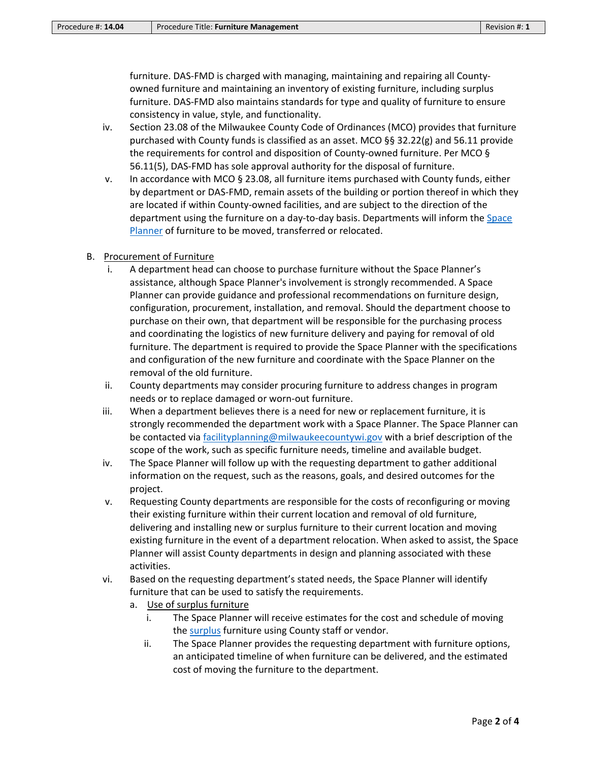furniture. DAS-FMD is charged with managing, maintaining and repairing all Countyowned furniture and maintaining an inventory of existing furniture, including surplus furniture. DAS-FMD also maintains standards for type and quality of furniture to ensure consistency in value, style, and functionality.

- iv. Section 23.08 of the Milwaukee County Code of Ordinances (MCO) provides that furniture purchased with County funds is classified as an asset. MCO §§ 32.22(g) and 56.11 provide the requirements for control and disposition of County-owned furniture. Per MCO § 56.11(5), DAS-FMD has sole approval authority for the disposal of furniture.
- v. In accordance with MCO § 23.08, all furniture items purchased with County funds, either by department or DAS-FMD, remain assets of the building or portion thereof in which they are located if within County-owned facilities, and are subject to the direction of the department using the furniture on a day-to-day basis. Departments will inform the [Space](#page-0-1)  [Planner](#page-0-1) of furniture to be moved, transferred or relocated.

#### B. Procurement of Furniture

- i. A department head can choose to purchase furniture without the Space Planner's assistance, although Space Planner's involvement is strongly recommended. A Space Planner can provide guidance and professional recommendations on furniture design, configuration, procurement, installation, and removal. Should the department choose to purchase on their own, that department will be responsible for the purchasing process and coordinating the logistics of new furniture delivery and paying for removal of old furniture. The department is required to provide the Space Planner with the specifications and configuration of the new furniture and coordinate with the Space Planner on the removal of the old furniture.
- ii. County departments may consider procuring furniture to address changes in program needs or to replace damaged or worn-out furniture.
- iii. When a department believes there is a need for new or replacement furniture, it is strongly recommended the department work with a Space Planner. The Space Planner can be contacted via [facilityplanning@milwaukeecountywi.gov](mailto:facilityplanning@milwaukeecountywi.gov) with a brief description of the scope of the work, such as specific furniture needs, timeline and available budget.
- iv. The Space Planner will follow up with the requesting department to gather additional information on the request, such as the reasons, goals, and desired outcomes for the project.
- v. Requesting County departments are responsible for the costs of reconfiguring or moving their existing furniture within their current location and removal of old furniture, delivering and installing new or surplus furniture to their current location and moving existing furniture in the event of a department relocation. When asked to assist, the Space Planner will assist County departments in design and planning associated with these activities.
- vi. Based on the requesting department's stated needs, the Space Planner will identify furniture that can be used to satisfy the requirements.
	- a. Use of surplus furniture
		- i. The Space Planner will receive estimates for the cost and schedule of moving the [surplus](#page-0-0) furniture using County staff or vendor.
		- ii. The Space Planner provides the requesting department with furniture options, an anticipated timeline of when furniture can be delivered, and the estimated cost of moving the furniture to the department.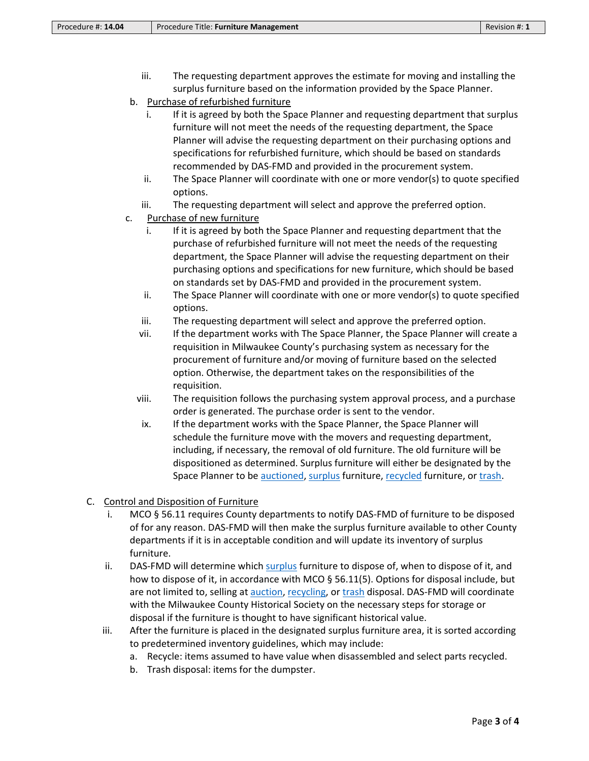- iii. The requesting department approves the estimate for moving and installing the surplus furniture based on the information provided by the Space Planner.
- b. Purchase of refurbished furniture
	- i. If it is agreed by both the Space Planner and requesting department that surplus furniture will not meet the needs of the requesting department, the Space Planner will advise the requesting department on their purchasing options and specifications for refurbished furniture, which should be based on standards recommended by DAS-FMD and provided in the procurement system.
	- ii. The Space Planner will coordinate with one or more vendor(s) to quote specified options.
	- iii. The requesting department will select and approve the preferred option.
- c. Purchase of new furniture
	- i. If it is agreed by both the Space Planner and requesting department that the purchase of refurbished furniture will not meet the needs of the requesting department, the Space Planner will advise the requesting department on their purchasing options and specifications for new furniture, which should be based on standards set by DAS-FMD and provided in the procurement system.
	- ii. The Space Planner will coordinate with one or more vendor(s) to quote specified options.
	- iii. The requesting department will select and approve the preferred option.
	- vii. If the department works with The Space Planner, the Space Planner will create a requisition in Milwaukee County's purchasing system as necessary for the procurement of furniture and/or moving of furniture based on the selected option. Otherwise, the department takes on the responsibilities of the requisition.
	- viii. The requisition follows the purchasing system approval process, and a purchase order is generated. The purchase order is sent to the vendor.
	- ix. If the department works with the Space Planner, the Space Planner will schedule the furniture move with the movers and requesting department, including, if necessary, the removal of old furniture. The old furniture will be dispositioned as determined. Surplus furniture will either be designated by the Space Planner to be [auctioned,](#page-0-2) [surplus](#page-0-0) furniture, [recycled](#page-0-3) furniture, o[r trash.](#page-0-4)
- C. Control and Disposition of Furniture
	- i. MCO § 56.11 requires County departments to notify DAS-FMD of furniture to be disposed of for any reason. DAS-FMD will then make the surplus furniture available to other County departments if it is in acceptable condition and will update its inventory of surplus furniture.
	- ii. DAS-FMD will determine whic[h surplus](#page-0-0) furniture to dispose of, when to dispose of it, and how to dispose of it, in accordance with MCO § 56.11(5). Options for disposal include, but are not limited to, selling a[t auction,](#page-0-2) [recycling,](#page-0-3) or [trash](#page-0-4) disposal. DAS-FMD will coordinate with the Milwaukee County Historical Society on the necessary steps for storage or disposal if the furniture is thought to have significant historical value.
	- iii. After the furniture is placed in the designated surplus furniture area, it is sorted according to predetermined inventory guidelines, which may include:
		- a. Recycle: items assumed to have value when disassembled and select parts recycled.
		- b. Trash disposal: items for the dumpster.